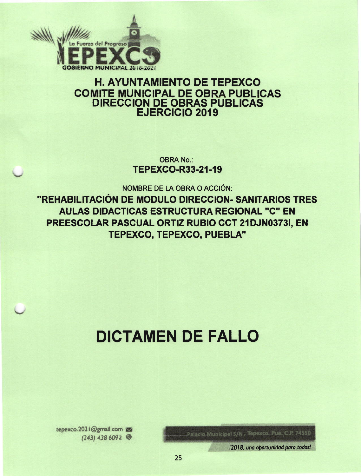

# **H. AYUNTAMIENTO DE TEPEXCO COMITE MUNICIPAL DE OBRA PUBLICAS DIRECCION DE OBRAS PUBLICAS** EJERCICIO 2019

**OBRA No.: TEPEXCO-R33-21-19** 

**NOMBRE DE LA OBRA O ACCIÓN:** "REHABILITACIÓN DE MODULO DIRECCION- SANITARIOS TRES **AULAS DIDACTICAS ESTRUCTURA REGIONAL "C" EN** PREESCOLAR PASCUAL ORTIZ RUBIO CCT 21DJN0373I, EN TEPEXCO, TEPEXCO, PUEBLA"

# **DICTAMEN DE FALLO**

Palacio Municipal S/N., Tepexco, Pue, C.P. 74550

i2018, una oportunidad para todos!

tepexco.2021@gmail.com  $(243)$  438 6092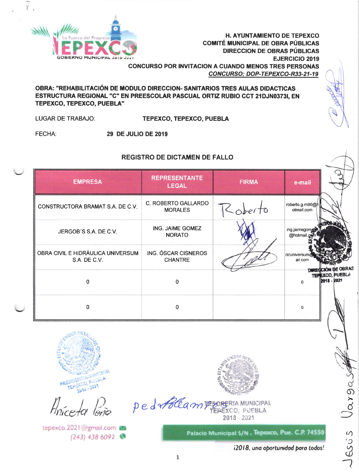

OBRA: "REHABILITACIÓN DE MODULO DIRECCION- SANITARIOS TRES AULAS DIDACTICAS ESTRUCTURA REGIONAL "C" EN PREESCOLAR PASCUAL ORTIZ RUBIO CCT 21DJN0373I, EN **TEPEXCO, TEPEXCO, PUEBLA"** 

**LUGAR DE TRABAJO:** TEPEXCO, TEPEXCO, PUEBLA

**FECHA: 29 DE JULIO DE 2019** 

# **REGISTRO DE DICTAMEN DE FALLO**

| <b>EMPRESA</b>                                    | <b>REPRESENTANTE</b><br><b>LEGAL</b>  | <b>FIRMA</b> | e-mail                        |                                |
|---------------------------------------------------|---------------------------------------|--------------|-------------------------------|--------------------------------|
| CONSTRUCTORA BRAMAT S.A. DE C.V.                  | C. ROBERTO GALLARDO<br><b>MORALES</b> | Roberto      | roberto.g.m90@h<br>otmail.com |                                |
| JERGOB'S S.A. DE C.V.                             | ING. JAIME GOMEZ<br><b>NORATO</b>     |              | ing.jaimegome<br>@hotmail.com |                                |
| OBRA CIVIL E HIDRÁULICA UNIVERSUM<br>S.A. DE C.V. | ING. ÓSCAR CISNEROS<br><b>CHANTRE</b> |              | ocuniversum<br>ail.com        | DE OBRA:                       |
| $\Omega$                                          | $\Omega$                              |              | <b>DAREGCION</b><br>$\Omega$  | TEPEXCO, PUEBLA<br>2018 - 2021 |
| n                                                 | $\Omega$                              |              | 0                             |                                |



tepexco.2021@gmail.com  $(243)$  438 6092



ped Ablampsoreria MUNICIPAL  $2018 - 2021$ 

Palacio Municipal S/N . Tepaxco, Pue. C.P. 74550

i2018, una oportunidad para todos!

Vargas

JESUS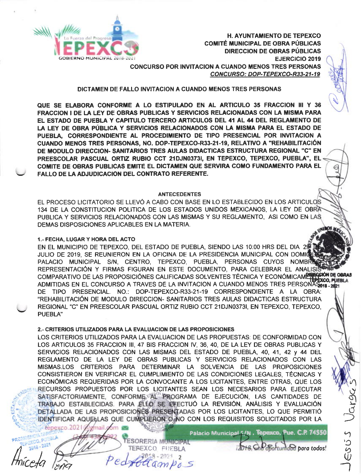

#### DICTAMEN DE FALLO INVITACION A CUANDO MENOS TRES PERSONAS

QUE SE ELABORA CONFORME A LO ESTIPULADO EN AL ARTICULO 35 FRACCION III Y 36 FRACCION I DE LA LEY DE OBRAS PUBLICAS Y SERVICIOS RELACIONADAS CON LA MISMA PARA EL ESTADO DE PUEBLA Y CAPITULO TERCERO ARTICULOS DEL 41 AL 44 DEL REGLAMENTO DE LA LEY DE OBRA PÚBLICA Y SERVICIOS RELACIONADOS CON LA MISMA PARA EL ESTADO DE PUEBLA, CORRESPONDIENTE AL PROCEDIMIENTO DE TIPO PRESENCIAL POR INVITACION A CUANDO MENOS TRES PERSONAS, NO. DOP-TEPEXCO-R33-21-19, RELATIVO A "REHABILITACIÓN DE MODULO DIRECCION- SANITARIOS TRES AULAS DIDACTICAS ESTRUCTURA REGIONAL "C" EN PREESCOLAR PASCUAL ORTIZ RUBIO CCT 21DJN03731, EN TEPEXCO, TEPEXCO, PUEBLA", EL COMITE DE OBRAS PUBLICAS EMITE EL DICTAMEN QUE SERVIRA COMO FUNDAMENTO PARA EL **FALLO DE LA ADJUDICACIÓN DEL CONTRATO REFERENTE.** 

#### **ANTECEDENTES**

EL PROCESO LICITATORIO SE LLEVÓ A CABO CON BASE EN LO ESTABLECIDO EN LOS ARTICULOS 134 DE LA CONSTITUCION POLITICA DE LOS ESTADOS UNIDOS MEXICANOS, LA LEY DE OBRA PUBLICA Y SERVICIOS RELACIONADOS CON LAS MISMAS Y SU REGLAMENTO, ASI COMO EN LAS DEMAS DISPOSICIONES APLICABLES EN LA MATERIA.

#### 1.- FECHA, LUGAR Y HORA DEL ACTO

EN EL MUNICIPIO DE TEPEXCO, DEL ESTADO DE PUEBLA, SIENDO LAS 10:00 HRS DEL DIA 29 JULIO DE 2019, SE REUNIERON EN LA OFICINA DE LA PRESIDENCIA MUNICIPAL CON DOMICI PALACIO MUNICIPAL S/N. CENTRO. TEPEXCO. PUEBLA. PERSONAS CUYOS NOMBR REPRESENTACIÓN Y FIRMAS FIGURAN EN ESTE DOCUMENTO, PARA CELEBRAR EL ANALISIS COMPARATIVO DE LAS PROPOSICIÓNES CALIFICADAS SOLVENTES TÉCNICA Y ECONÓMICAMENTE OBRAS ADMITIDAS EN EL CONCURSO A TRAVES DE LA INVITACION A CUANDO MENOS TRES PERSONAS 12021 DE TIPO PRESENCIAL. NO.: DOP-TEPEXCO-R33-21-19 CORRESPONDIENTE A LA OBRA: "REHABILITACIÓN DE MODULO DIRECCION- SANITARIOS TRES AULAS DIDACTICAS ESTRUCTURA REGIONAL "C" EN PREESCOLAR PASCUAL ORTIZ RUBIO CCT 21DJN03731, EN TEPEXCO, TEPEXCO, PUEBLA"

#### 2.- CRITERIOS UTILIZADOS PARA LA EVALUACION DE LAS PROPOSICIONES

omail oom

LOS CRITERIOS UTILIZADOS PARA LA EVALUACION DE LAS PROPUESTAS: DE CONFORMIDAD CON LOS ARTICULOS 35 FRACCION III, 47 BIS FRACCION IV, 36, 40, DE LA LEY DE OBRAS PUBLICAS Y SERVICIOS RELACIONADOS CON LAS MISMAS DEL ESTADO DE PUEBLA, 40, 41, 42 y 44 DEL REGLAMENTO DE LA LEY DE OBRAS PUBLICAS Y SERVICIOS RELACIONADOS CON LAS MISMAS.LOS CRITERIOS PARA DETERMINAR LA SOLVENCIA DE LAS PROPOSICIONES CONSISTIERON EN VERIFICAR EL CUMPLIMIENTO DE LAS CONDICIONES LEGALES. TÉCNICAS Y ECONÓMICAS REQUERIDAS POR LA CONVOCANTE A LOS LICITANTES, ENTRE OTRAS, QUE LOS RECURSOS PROPUESTOS POR LOS LICITANTES SEAN LOS NECESARIOS PARA EJECUTAR SATISFACTORIAMENTE, CONFORME AL PROGRAMA DE EJECUCIÓN, LAS CANTIDADES DE TRABAJO ESTABLECIDAS. PARA ELLO SE EFECTUÓ LA REVISIÓN, ANÁLISIS Y EVALUACIÓN DETALLADA DE LAS PROPOSICIONES PRESENTADAS POR LOS LICITANTES, LO QUE PERMITIÓ IDENTIFICAR AQUELLAS QUE CUMPLIERON O NO CON LOS REQUISITOS SOLICITADOS POR LA repexco.2021

**D. PUSBLA**  $18 - 2321$ 

ESORERIA MUNICIPAL TEREXCO PUEBLA  $20.18 - 2021$  $\overline{2}$ lampo S

Palacio Municipal S/N. Tepexco, Pue. C.P. 74550

tots Che Softundad para todos!

ESUS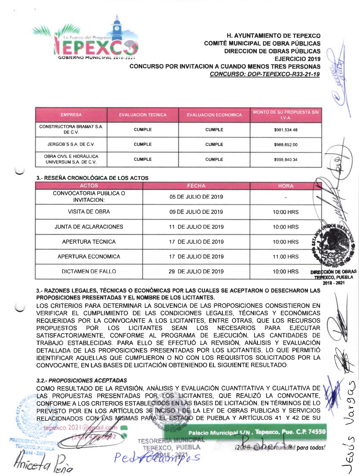

# H. AYUNTAMIENTO DE TEPEXCO COMITÉ MUNICIPAL DE OBRA PÚBLICAS DIRECCION DE OBRAS PÚBLICAS GERNO MUNICIPAL 2018-2021 **Contract Contract Contract Contract Contract Contract Contract Contract Contract Contract Contract Contract Contract Contract Contract Contract Contract Contract Contract Contract Contract Contra** GONCURSO POR INVITACION A CUANDO MENOS TRES PERSONAS CONCURSO: DOP-TEPEXCO-R33-21-19

t

 $\mathcal{Q}$ 

NN

§J

d

 $\mathcal{L}$  $\overline{c}$  $\check{\vec{\bm{\omega}}}$  $\overrightarrow{1}$ 

| <b>EMPRESA</b>                                    | <b>EVALUACION TECNICA</b> | <b>EVALUACION ECONOMICA</b> | MONTO DE SU PROPUESTA SIN<br>IVA. |
|---------------------------------------------------|---------------------------|-----------------------------|-----------------------------------|
| <b>CONSTRUCTORA BRAMAT S.A.</b><br>DE C.V.        | <b>CUMPLE</b>             | <b>CUMPLE</b>               | \$981,534.48                      |
| JERGOB'S S.A. DE C.V.                             | <b>CUMPLE</b>             | <b>CUMPLE</b>               | \$988,652.00                      |
| OBRA CIVIL E HIDRÂULICA<br>UNIVERSUM S.A. DE C.V. | <b>CUMPLE</b>             | <b>CUMPLE</b>               | \$998,840,34                      |

# 3.- RESEÑA CRONOLÓGICA DE LOS ACTOS

| 3.- REJENA URUNULUGIUA DE LUJ AUTUJ          |                     |             |                                              |
|----------------------------------------------|---------------------|-------------|----------------------------------------------|
| <b>ACTOS</b>                                 | <b>FECHA</b>        | <b>HORA</b> |                                              |
| CONVOCATORIA PUBLICA O<br><b>INVITACION:</b> | 05 DE JULIO DE 2019 |             |                                              |
| <b>VISITA DE OBRA</b>                        | 09 DE JULIO DE 2019 | 10:00 HRS   |                                              |
| <b>JUNTA DE ACLARACIONES</b>                 | 11 DE JULIO DE 2019 | 10:00 HRS   |                                              |
| <b>APERTURA TECNICA</b>                      | 17 DE JULIO DE 2019 | 10:00 HRS   |                                              |
| APERTURA ECONOMICA                           | 17 DE JULIO DE 2019 | 11:00 HRS   |                                              |
| <b>DICTAMEN DE FALLO</b>                     | 29 DE JULIO DE 2019 | 10:00 HRS   | DIRECCIÓN DE OBRAS<br><b>TEMEXCO, PUEBLA</b> |
|                                              |                     |             | 2018 - 2021                                  |

3.- RAZONES LEGALES, TÉCNICAS O ECONÓMICAS POR LAS CUALES SE ACEPTARON O DESECHARON LAS PROPOSICIONES PRESENTADAS Y EL NOMBRE DE LOS LICITANTES.

LOS CRITERIOS PARA DETERMINAR LA SOLVENCIA DE LAS PROPOSICIONES CONSISTIERON EN VERIFICAR EL CUMPLIMIENTO DE LAS CONDICIONES LEGALES, TECNICAS Y ECONÓMICAS REQUERIDAS POR LA CONVOCANTE A LOS LICITANTES, ENTRE OTRAS, QUE LOS RECURSOS PROPUESTOS POR LOS LICITANTES SEAN LOS NECESARIOS PARA EJECUTAR SATISFACTORIAMENTE, CONFORME AL PROGRAMA DE EJECUCIÓN, LAS CANTIDADES DE TRABAJO ESTABLECIDAS. PARA ELLO SE EFECTUÓ LA REVISIÓN, ANALISIS Y EVALUACIÓN DETALLADA DE LAS PROPOSICIONES PRESENTADAS POR LOS LICITANTES, LO QUE PERMITIÓ IDENTIFICAR AQUELLAS QUE CUMPLIERON O NO CON LOS REQUISITOS SOLICITADOS POR LA CONVOCANTE, EN LAS BASES DE LICITACIÓN OBTENIENDO EL SIGUIENTE RESULTADO,

# 3.2.- PROPOSICIONES ACEPTADAS

il.c

Pe

tepexco.2021

COMO RESULTADO DE LA REVISIÓN, ANALISIS Y EVALUACIÓN CUANTITATIVA Y CUALITATIVA DE LAS PROPUESTAS PRESENTADAS POR LOS LICITANTES, QUE REALIZÓ LA CONVOCANTE. CONFORME A LOS CRITERIOS ESTABLECIDOS EN LAS BASES DE LICITACIÓN. EN TÉRMINOS DE LO PREVISTO POR EN LOS ARTÍCULOS 36 INCISO I DE LA LEY DE OBRAS PUBLICAS Y SERVICIOS RELACIONADOS CON LAS MASMAS PARA EL ESTADO DE PUEBLA Y ARTÍCULOS 41 Y 42 DE SU

TESORERIA MUNICIPA<br>TEREXCO, PUEBLA

 $\overline{q}$ 

Palacio Municipal S/N , Tepexco, Pue. C.P. 74550

i2018. Cod of Softunidad para todos!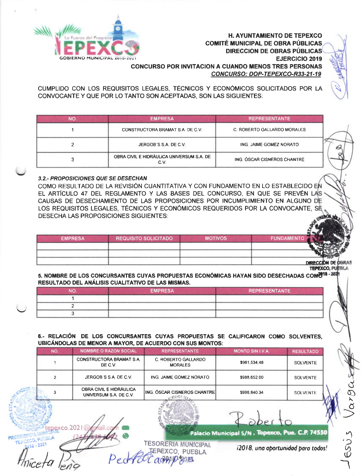

CUMPLIDO CON LOS REQUISITOS LEGALES, TÉCNICOS Y ECONÓMICOS SOLICITADOS POR LA CONVOCANTE Y QUE POR LO TANTO SON ACEPTADAS, SON LAS SIGUIENTES:

| <b>NO</b> | <b>EMPRESA</b>                                    | <b>REPRESENTANTE</b>        |  |
|-----------|---------------------------------------------------|-----------------------------|--|
|           | CONSTRUCTORA BRAMAT S.A. DE C.V.                  | C. ROBERTO GALLARDO MORALES |  |
|           | JERGOB'S S.A. DE C.V.                             | ING. JAIME GOMEZ NORATO     |  |
|           | OBRA CIVIL E HIDRÁULICA UNIVERSUM S.A. DE<br>C.V. | ING. ÓSCAR CISNEROS CHANTRE |  |

### 3.2.- PROPOSICIONES QUE SE DESECHAN

COMO RESULTADO DE LA REVISIÓN CUANTITATIVA Y CON FUNDAMENTO EN LO ESTABLECIDO EN EL ARTÍCULO 47 DEL REGLAMENTO Y LAS BASES DEL CONCURSO. EN QUE SE PREVÉN LAS CAUSAS DE DESECHAMIENTO DE LAS PROPOSICIONES POR INCUMPLIMIENTO EN ALGUNO DE LOS REQUISITOS LEGALES, TÉCNICOS Y ECONÓMICOS REQUERIDOS POR LA CONVOCANTE, SE **DESECHA LAS PROPOSICIONES SIGUIENTES:** 

| <b>EMPRESA</b> | <b>REQUISITO SOLICITADO</b> | <b>MOTIVOS</b> | <b>FUNDAMENTO</b>  |
|----------------|-----------------------------|----------------|--------------------|
|                |                             |                |                    |
|                |                             |                |                    |
|                |                             |                | DIRECCIÓN DE OBRAS |

**TEPEXCO, PUEBLA** 

5. NOMBRE DE LOS CONCURSANTES CUYAS PROPUESTAS ECONÓMICAS HAYAN SIDO DESECHADAS COM 6 18 - 202 RESULTADO DEL ANÁLISIS CUALITATIVO DE LAS MISMAS.

| мc | <b>EMPRESA</b> | <b>REPRESENTANTE</b> |
|----|----------------|----------------------|
|    |                |                      |
|    |                |                      |
|    |                |                      |

#### 6.- RELACIÓN DE LOS CONCURSANTES CUYAS PROPUESTAS SE CALIFICARON COMO SOLVENTES. UBICÁNDOLAS DE MENOR A MAYOR, DE ACUERDO CON SUS MONTOS:

| NO. | <b>NOMBRE O RAZON SOCIAL</b>                      | <b>REPRESENTANTE</b>                                   | MONTO SIN I.V.A. | <b>RESULTADO</b> |
|-----|---------------------------------------------------|--------------------------------------------------------|------------------|------------------|
|     | <b>CONSTRUCTORA BRAMAT S.A.</b><br>DE C.V.        | C. ROBERTO GALLARDO<br><b>MORALES</b>                  | \$981,534.48     | <b>SOLVENTE</b>  |
|     | JERGOB'S S.A. DE C.V.                             | ING. JAIME GOMEZ NORATO                                | \$988,652.00     | <b>SOLVENTE</b>  |
|     | OBRA CIVIL E HIDRÁULICA<br>UNIVERSUM S.A. DE C.V. | <b>ING. ÓSCAR CISNEROS CHANTRE</b><br><b>ANDOS</b> MAY | \$998,840.34     | <b>SOLVENTE</b>  |
|     |                                                   |                                                        |                  |                  |

**TESORERIA MUNICIPAL** 

**PEXCO, PUEBLA** 心凶

Palacio Municipal S/N . Tepexco, Pue. C.P. 74550

. 202

i2018, una oportunidad para todos!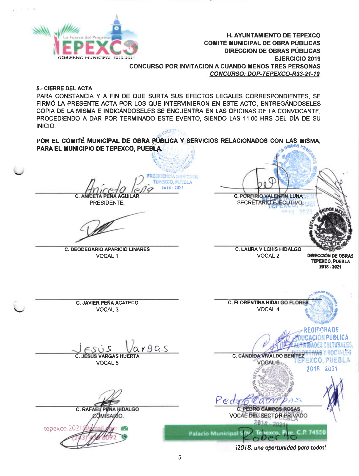

5.- CIERRE DEL ACTA

PARA CONSTANCIA Y A FIN DE QUE SURTA SUS EFECTOS LEGALES CORRESPONDIENTES, SE FIRMÓ LA PRESENTE ACTA POR LOS QUE INTERVINIERON EN ESTE ACTO. ENTREGÁNDOSELES COPIA DE LA MISMA E INDICÁNDOSELES SE ENCUENTRA EN LAS OFICINAS DE LA CONVOCANTE. PROCEDIENDO A DAR POR TERMINADO ESTE EVENTO, SIENDO LAS 11:00 HRS DEL DÍA DE SU INICIO.

POR EL COMITÉ MUNICIPAL DE OBRA PÚBLICA Y SERVICIOS RELACIONADOS CON LAS MISMA, PARA EL MUNICIPIO DE TEPEXCO, PUEBLA.

TEPEXCO PUSHIZ 2018 - 202 C ANI

PRESIDENTE.

**C. DEODEGARIO APARICIO LINARES VOCAL1** 

C. PORFIRIO VALENTIN LUNA SECRETARIO EJECUTIVO.

**C. LAURA VILCHIS HIDALGO** VOCAL<sub>2</sub>

#### **DIRECCIÓN DE OBRAS TEPEXCO, PUEBLA** 2018 - 2021

**C. JAVIER PEÑA ACATECO** VOCAL<sub>3</sub>

 $19GS$ **JESÚS VARGAS HUERT** 

VOCAL 5





i2018, una oportunidad para todos!